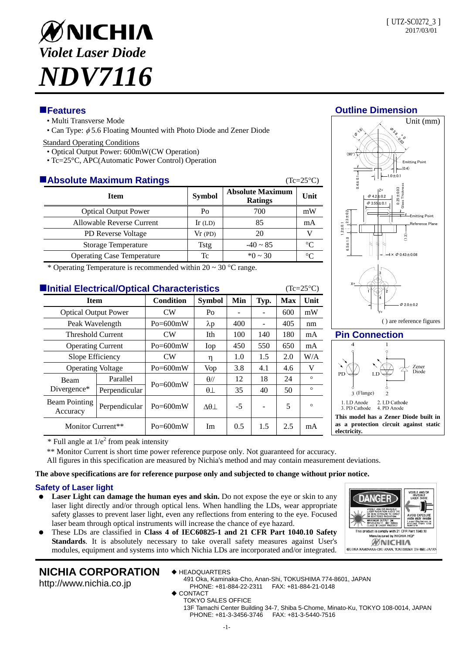Unit (mm)

 $(nA)$ 

Emitting Point

 $\delta_{\mathcal{S}_{\sigma}}$ - 0 ९<sub>७</sub>

1.0±0.1



- Multi Transverse Mode
- Can Type:  $\phi$  5.6 Floating Mounted with Photo Diode and Zener Diode

### Standard Operating Conditions

- Optical Output Power: 600mW(CW Operation)
- Tc=25°C, APC(Automatic Power Control) Operation

## **Absolute Maximum Ratings** (Tc=25°C)

| —люобнике тиалппинг какшар        |               |                                           | $\sim$ $\sim$ $\sim$ $\prime$ |
|-----------------------------------|---------------|-------------------------------------------|-------------------------------|
| <b>Item</b>                       | <b>Symbol</b> | <b>Absolute Maximum</b><br><b>Ratings</b> |                               |
| <b>Optical Output Power</b>       | Po            | 700                                       | mW                            |
| Allowable Reverse Current         | Ir $(LD)$     | 85                                        | mA                            |
| <b>PD Reverse Voltage</b>         | Vr(PD)        | 20                                        |                               |
| Storage Temperature               | Tstg          | $-40 \sim 85$                             | $\rm ^{\circ}C$               |
| <b>Operating Case Temperature</b> | Tc            | $*0 \sim 30$                              |                               |

\* Operating Temperature is recommended within  $20 \sim 30$  °C range.

## **Initial Electrical/Optical Characteristics** (Tc=25°C)

| <u>siidi dotoi iotioo</u><br>-,  |               |                  |                |      |      |            |         |  |
|----------------------------------|---------------|------------------|----------------|------|------|------------|---------|--|
| <b>Item</b>                      |               | <b>Condition</b> | <b>Symbol</b>  | Min  | Typ. | <b>Max</b> | Unit    |  |
| <b>Optical Output Power</b>      |               | CW               | Po             |      |      | 600        | mW      |  |
| Peak Wavelength                  |               | $Po = 600mW$     | $\lambda p$    | 400  |      | 405        | nm      |  |
| Threshold Current                |               | CW               | Ith            | 100  | 140  | 180        | mA      |  |
| <b>Operating Current</b>         |               | $Po = 600mW$     | Iop            | 450  | 550  | 650        | mA      |  |
| Slope Efficiency                 |               | CW               | η              | 1.0  | 1.5  | 2.0        | W/A     |  |
| <b>Operating Voltage</b>         |               | $Po = 600mW$     | Vop            | 3.8  | 4.1  | 4.6        | V       |  |
| Beam<br>Divergence*              | Parallel      | $Po = 600mW$     | $\theta$ //    | 12   | 18   | 24         | $\circ$ |  |
|                                  | Perpendicular |                  | $\theta\perp$  | 35   | 40   | 50         | $\circ$ |  |
| <b>Beam Pointing</b><br>Accuracy | Perpendicular | $Po = 600mW$     | $\Delta\theta$ | $-5$ |      | 5          | $\circ$ |  |
| Monitor Current**                |               | $Po = 600mW$     | Im             | 0.5  | 1.5  | 2.5        | mA      |  |





## **Pin Connection**

DANGF

WAVE

 $vith 21 C$ factured by NICHIA HQI *MNICHIA* 491. OKA KAMINAKA-CHO ANAN, TOKUSHIMA 774-8601 JAPAN



 $*$  Full angle at  $1/e<sup>2</sup>$  from peak intensity

\*\* Monitor Current is short time power reference purpose only. Not guaranteed for accuracy.

All figures in this specification are measured by Nichia's method and may contain measurement deviations.

### **The above specifications are for reference purpose only and subjected to change without prior notice.**

## **Safety of Laser light**

- **Laser Light can damage the human eyes and skin.** Do not expose the eye or skin to any laser light directly and/or through optical lens. When handling the LDs, wear appropriate safety glasses to prevent laser light, even any reflections from entering to the eye. Focused laser beam through optical instruments will increase the chance of eye hazard.
- These LDs are classified in **Class 4 of IEC60825-1 and 21 CFR Part 1040.10 Safety Standards**. It is absolutely necessary to take overall safety measures against User's modules, equipment and systems into which Nichia LDs are incorporated and/or integrated.

# **NICHIA CORPORATION**

http://www.nichia.co.jp

- ◆ HEADQUARTERS
	- 491 Oka, Kaminaka-Cho, Anan-Shi, TOKUSHIMA 774-8601, JAPAN PHONE: +81-884-22-2311 FAX: +81-884-21-0148
- ◆ CONTACT
	- TOKYO SALES OFFICE

13F Tamachi Center Building 34-7, Shiba 5-Chome, Minato-Ku, TOKYO 108-0014, JAPAN PHONE: +81-3-3456-3746 FAX: +81-3-5440-7516



(90°)

0.4±0.1

(**B** 16)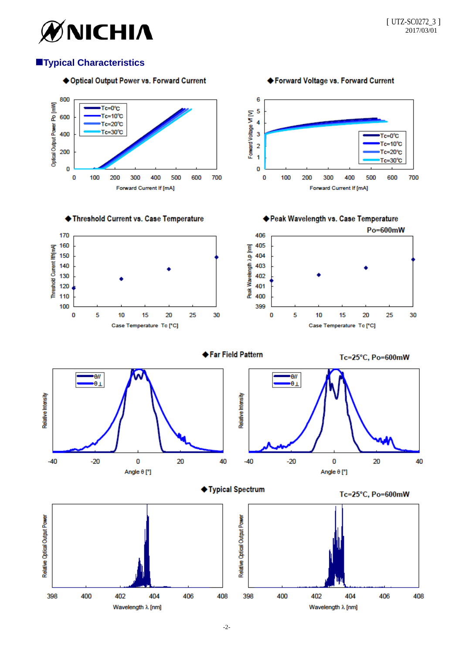

## **Typical Characteristics**

## ◆ Optical Output Power vs. Forward Current

◆ Forward Voltage vs. Forward Current